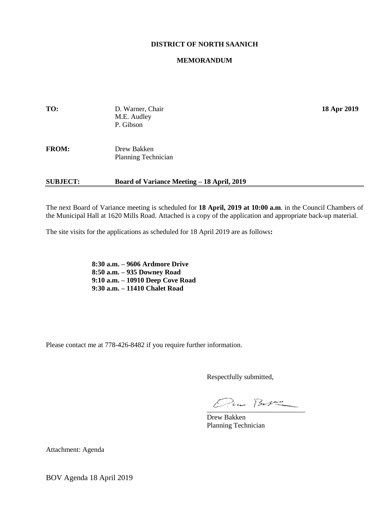#### **DISTRICT OF NORTH SAANICH**

#### **MEMORANDUM**

| TO:          | D. Warner, Chair<br>M.E. Audley<br>P. Gibson | 18 Apr 2019 |
|--------------|----------------------------------------------|-------------|
| <b>FROM:</b> | Drew Bakken<br>Planning Technician           |             |

#### **SUBJECT: Board of Variance Meeting – 18 April, 2019**

The next Board of Variance meeting is scheduled for **18 April, 2019 at 10:00 a.m**. in the Council Chambers of the Municipal Hall at 1620 Mills Road. Attached is a copy of the application and appropriate back-up material.

The site visits for the applications as scheduled for 18 April 2019 are as follows**:**

**8:30 a.m. – 9606 Ardmore Drive 8:50 a.m. – 935 Downey Road 9:10 a.m. – 10910 Deep Cove Road 9:30 a.m. – 11410 Chalet Road**

Please contact me at 778-426-8482 if you require further information.

Respectfully submitted,

 $\mathcal{Q}_{\mu\nu}$   $\beta_{\nu}$ 

Drew Bakken Planning Technician

Attachment: Agenda

BOV Agenda 18 April 2019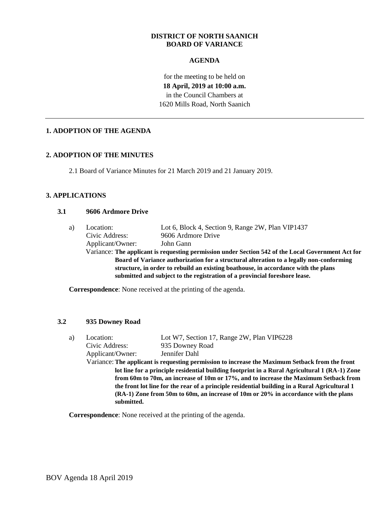#### **DISTRICT OF NORTH SAANICH BOARD OF VARIANCE**

## **AGENDA**

for the meeting to be held on **18 April, 2019 at 10:00 a.m.** in the Council Chambers at 1620 Mills Road, North Saanich

## **1. ADOPTION OF THE AGENDA**

## **2. ADOPTION OF THE MINUTES**

2.1 Board of Variance Minutes for 21 March 2019 and 21 January 2019.

## **3. APPLICATIONS**

### **3.1 9606 Ardmore Drive**

| a) | Location:                                                                          | Lot 6, Block 4, Section 9, Range 2W, Plan VIP1437                                                  |  |  |  |
|----|------------------------------------------------------------------------------------|----------------------------------------------------------------------------------------------------|--|--|--|
|    | Civic Address:                                                                     | 9606 Ardmore Drive                                                                                 |  |  |  |
|    | Applicant/Owner:                                                                   | John Gann                                                                                          |  |  |  |
|    |                                                                                    | Variance: The applicant is requesting permission under Section 542 of the Local Government Act for |  |  |  |
|    |                                                                                    | Board of Variance authorization for a structural alteration to a legally non-conforming            |  |  |  |
|    | structure, in order to rebuild an existing boathouse, in accordance with the plans |                                                                                                    |  |  |  |
|    |                                                                                    | submitted and subject to the registration of a provincial foreshore lease.                         |  |  |  |

**Correspondence**: None received at the printing of the agenda.

#### **3.2 935 Downey Road**

| a)                                                                                            | Location:                                                                                     | Lot W7, Section 17, Range 2W, Plan VIP6228                                                      |  |  |
|-----------------------------------------------------------------------------------------------|-----------------------------------------------------------------------------------------------|-------------------------------------------------------------------------------------------------|--|--|
|                                                                                               | Civic Address:                                                                                | 935 Downey Road                                                                                 |  |  |
|                                                                                               | Applicant/Owner:                                                                              | Jennifer Dahl                                                                                   |  |  |
|                                                                                               |                                                                                               | Variance: The applicant is requesting permission to increase the Maximum Setback from the front |  |  |
| lot line for a principle residential building footprint in a Rural Agricultural 1 (RA-1) Zone |                                                                                               |                                                                                                 |  |  |
|                                                                                               | from 60m to 70m, an increase of 10m or 17%, and to increase the Maximum Setback from          |                                                                                                 |  |  |
|                                                                                               | the front lot line for the rear of a principle residential building in a Rural Agricultural 1 |                                                                                                 |  |  |
|                                                                                               |                                                                                               | (RA-1) Zone from 50m to 60m, an increase of 10m or 20% in accordance with the plans             |  |  |
|                                                                                               | submitted.                                                                                    |                                                                                                 |  |  |
|                                                                                               |                                                                                               |                                                                                                 |  |  |

**Correspondence**: None received at the printing of the agenda.